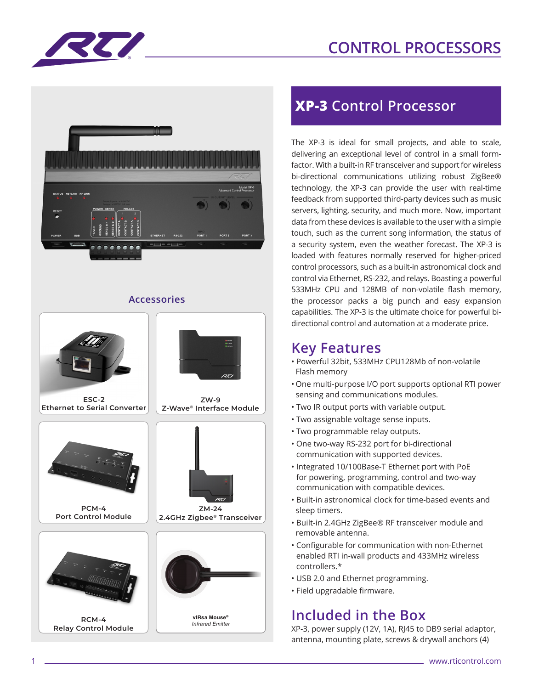# **CONTROL PROCESSORS**





#### **Accessories**



## **XP-3 Control Processor**

The XP-3 is ideal for small projects, and able to scale, delivering an exceptional level of control in a small formfactor. With a built-in RF transceiver and support for wireless bi-directional communications utilizing robust ZigBee® technology, the XP-3 can provide the user with real-time feedback from supported third-party devices such as music servers, lighting, security, and much more. Now, important data from these devices is available to the user with a simple touch, such as the current song information, the status of a security system, even the weather forecast. The XP-3 is loaded with features normally reserved for higher-priced control processors, such as a built-in astronomical clock and control via Ethernet, RS-232, and relays. Boasting a powerful 533MHz CPU and 128MB of non-volatile flash memory, the processor packs a big punch and easy expansion capabilities. The XP-3 is the ultimate choice for powerful bidirectional control and automation at a moderate price.

#### **Key Features**

- Powerful 32bit, 533MHz CPU128Mb of non-volatile Flash memory
- One multi-purpose I/O port supports optional RTI power sensing and communications modules.
- Two IR output ports with variable output.
- Two assignable voltage sense inputs.
- Two programmable relay outputs.
- One two-way RS-232 port for bi-directional communication with supported devices.
- Integrated 10/100Base-T Ethernet port with PoE for powering, programming, control and two-way communication with compatible devices.
- Built-in astronomical clock for time-based events and sleep timers.
- Built-in 2.4GHz ZigBee® RF transceiver module and removable antenna.
- Configurable for communication with non-Ethernet enabled RTI in-wall products and 433MHz wireless controllers.\*
- USB 2.0 and Ethernet programming.
- Field upgradable firmware.

### **Included in the Box**

XP-3, power supply (12V, 1A), RJ45 to DB9 serial adaptor, antenna, mounting plate, screws & drywall anchors (4)